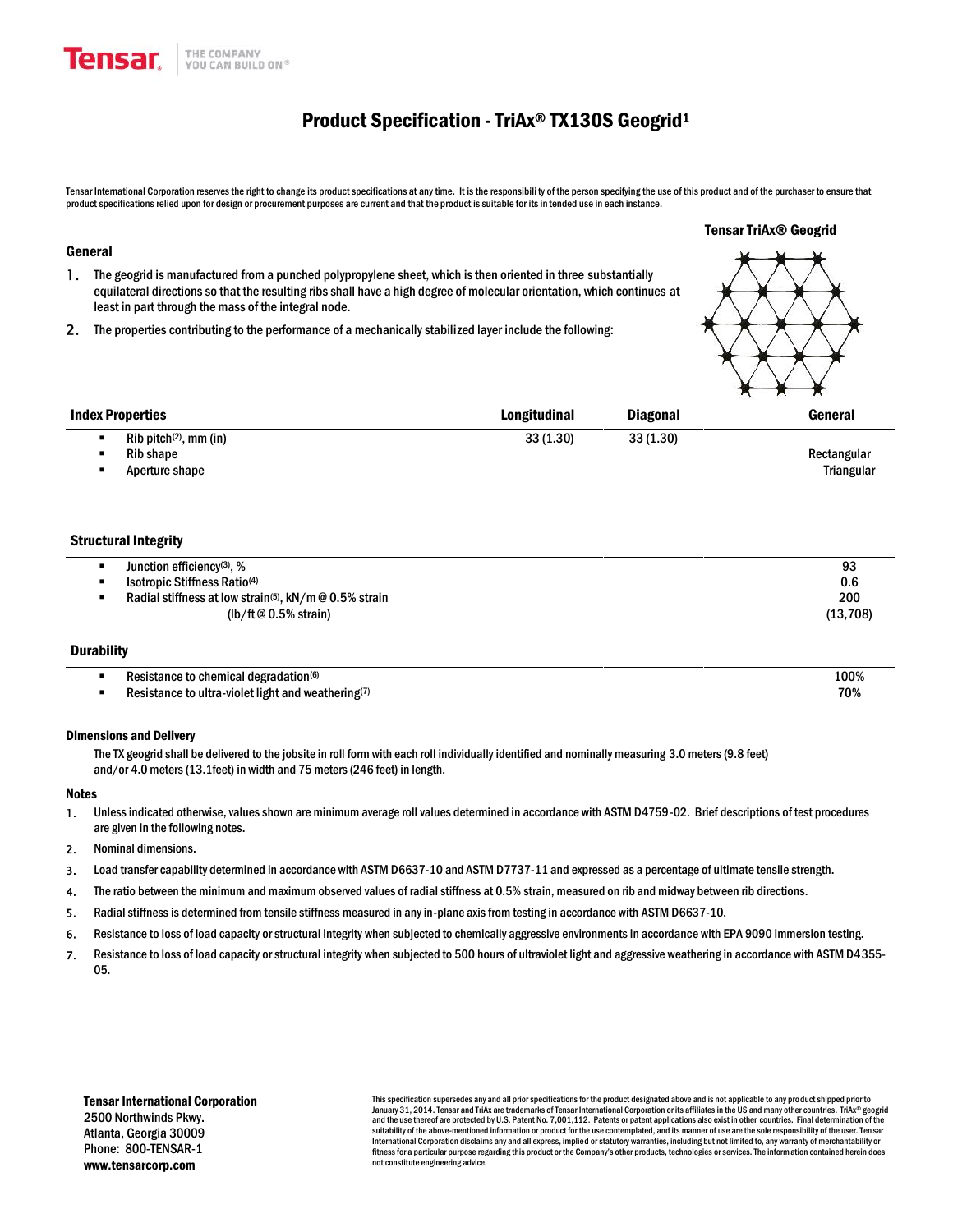

# Product Specification - TriAx® TX130S Geogrid<sup>1</sup>

Tensar TriAx® Geogrid

Tensar International Corporation reserves the right to change its product specifications at any time. It is the responsibility of the person specifying the use of this product and of the purchaser to ensure that product specifications relied upon for design or procurement purposes are current and that the product is suitable for its in tended use in each instance.

#### General

- **1.** The geogrid is manufactured from a punched polypropylene sheet, which is then oriented in three substantially equilateral directions so that the resulting ribs shall have a high degree of molecular orientation, which continues at least in part through the mass of the integral node.
- **2.** The properties contributing to the performance of a mechanically stabilized layer include the following:

|                                      |              |                 | $\mathbf{X}$ $\mathbf{X}$ $\mathbf{X}$ |
|--------------------------------------|--------------|-----------------|----------------------------------------|
| Index Properties                     | Longitudinal | <b>Diagonal</b> | General                                |
| $Rib$ pitch <sup>(2)</sup> , mm (in) | 33(1.30)     | 33(1.30)        |                                        |
| Rib shape                            |              |                 | Rectangular                            |
| Aperture shape                       |              |                 | <b>Triangular</b>                      |

#### Structural Integrity

| Junction efficiency <sup>(3)</sup> , %                             | 93       |
|--------------------------------------------------------------------|----------|
| Isotropic Stiffness Ratio <sup>(4)</sup>                           | 0.6      |
| Radial stiffness at low strain <sup>(5)</sup> , $kN/m@0.5%$ strain | 200      |
| (lb/ft@ $0.5\%$ strain)                                            | (13.708) |

#### **Durability**

| Resistance to chemical degradation®                                   | 100% |
|-----------------------------------------------------------------------|------|
| Resistance to ultra-violet light and weathering $\binom{7}{2}$<br>. . | 70%  |

### Dimensions and Delivery

The TX geogrid shall be delivered to the jobsite in roll form with each roll individually identified and nominally measuring 3.0 meters(9.8 feet) and/or 4.0 meters (13.1feet) in width and 75 meters (246 feet) in length.

#### Notes

- **1.** Unless indicated otherwise, values shown are minimum average roll values determined in accordance with ASTM D4759-02. Brief descriptions of test procedures are given in the following notes.
- **2.** Nominal dimensions.
- **3.** Load transfer capability determined in accordance with ASTM D6637-10 and ASTM D7737-11 and expressed as a percentage of ultimate tensile strength.
- **4.** The ratio between the minimum and maximum observed values of radial stiffness at 0.5% strain, measured on rib and midway between rib directions.
- **5.** Radial stiffness is determined from tensile stiffness measured in any in-plane axis from testing in accordance with ASTM D6637-10.
- **6.** Resistance to loss of load capacity or structural integrity when subjected to chemically aggressive environments in accordance with EPA 9090 immersion testing.
- **7.** Resistance to loss of load capacity or structural integrity when subjected to 500 hours of ultraviolet light and aggressive weathering in accordance with ASTM D4355- 05.

This specification supersedes any and all prior specifications for the product designated above and is not applicable to any product shipped prior to January 31, 2014. Tensar and TriAx are trademarks of Tensar International Corporation or its affiliates in the US and many other countries. TriAx® geogrid and the use thereof are protected by U.S. Patent No. 7,001,112. Patents or patent applications also exist in other countries. Final determination of the suitability of the above-mentioned information or product for the use contemplated, and its manner of use are the sole responsibility of the user. Ten sar International Corporation disclaims any and all express, implied or statutory warranties, including but not limited to, any warranty of merchantability or fitness for a particular purpose regarding this product or the Company's other products, technologies or services. The information contained herein does not constitute engineering advice.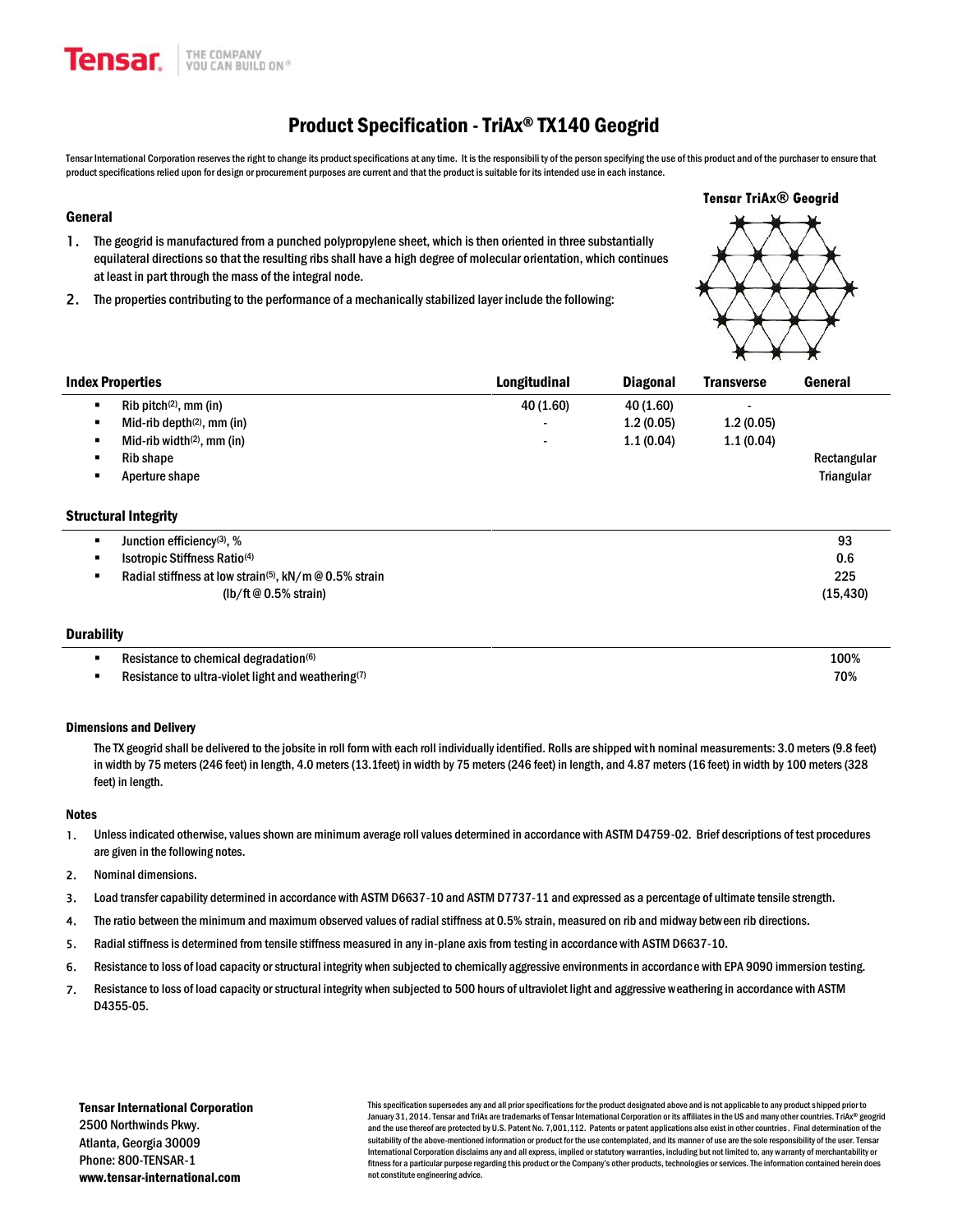# Product Specification -TriAx® TX140 Geogrid

Tensar International Corporation reserves the right to change its product specifications at any time. It is the responsibili ty of the person specifying the use of this product and of the purchaser to ensure that product specifications relied upon for design or procurement purposes are current and that the product is suitable for its intended use in each instance.

## General

- **1.** The geogrid is manufactured from a punched polypropylene sheet, which is then oriented in three substantially equilateral directions so that the resulting ribs shall have a high degree of molecular orientation, which continues at least in part through the mass of the integral node.
- **2.** The properties contributing to the performance of a mechanically stabilized layer include the following:



|   | <b>Index Properties</b>       | Longitudinal             | <b>Diagonal</b> | <b>Transverse</b> | General           |
|---|-------------------------------|--------------------------|-----------------|-------------------|-------------------|
| л | $Rib$ pitch $(2)$ , mm (in)   | 40 (1.60)                | 40 (1.60)       | -                 |                   |
|   | Mid-rib depth $(2)$ , mm (in) | $\overline{\phantom{0}}$ | 1.2(0.05)       | 1.2(0.05)         |                   |
|   | Mid-rib width $(2)$ , mm (in) | $\overline{\phantom{0}}$ | 1.1(0.04)       | 1.1(0.04)         |                   |
|   | <b>Rib shape</b>              |                          |                 |                   | Rectangular       |
|   | Aperture shape                |                          |                 |                   | <b>Triangular</b> |
|   |                               |                          |                 |                   |                   |

# Structural Integrity

| Junction efficiency(3), %                                                   | 93        |
|-----------------------------------------------------------------------------|-----------|
| Isotropic Stiffness Ratio <sup>(4)</sup>                                    | 0.6       |
| Radial stiffness at low strain <sup>(5)</sup> , $kN/m \otimes 0.5\%$ strain | 225       |
| ( $\frac{1}{10}$ /ft @ 0.5% strain)                                         | (15, 430) |
|                                                                             |           |

## **Durability**

| Resistance to chemical degradation <sup>(6)</sup>            | 100%                 |
|--------------------------------------------------------------|----------------------|
| Resistance to ultra-violet light and weathering $(7)$<br>. . | 70%<br>$\sim$ $\sim$ |

### Dimensions and Delivery

The TX geogrid shall be delivered to the jobsite in roll form with each roll individually identified. Rolls are shipped with nominal measurements: 3.0 meters (9.8 feet) in width by 75 meters (246 feet) in length, 4.0 meters (13.1feet) in width by 75 meters (246 feet) in length, and 4.87 meters (16 feet) in width by 100 meters (328 feet) in length.

#### **Notes**

- **1.** Unless indicated otherwise, values shown are minimum average roll values determined in accordance with ASTM D4759-02. Brief descriptions of test procedures are given in the following notes.
- **2.** Nominal dimensions.
- **3.** Load transfer capability determined in accordance with ASTM D6637-10 and ASTM D7737-11 and expressed as a percentage of ultimate tensile strength.
- **4.** The ratio between the minimum and maximum observed values of radial stiffness at 0.5% strain, measured on rib and midway between rib directions.
- **5.** Radial stiffness is determined from tensile stiffness measured in any in-plane axis from testing in accordance with ASTM D6637-10.
- **6.** Resistance to loss of load capacity or structural integrity when subjected to chemically aggressive environments in accordance with EPA 9090 immersion testing.
- **7.** Resistance to loss of load capacity or structural integrity when subjected to 500 hours of ultraviolet light and aggressive weathering in accordance with ASTM D4355-05.

Tensar International Corporation 2500 Northwinds Pkwy. Atlanta, Georgia 30009 Phone: 800-TENSAR-1 www.tensar-international.com

This specification supersedes any and all prior specifications for the product designated above and is not applicable to any product shipped prior to January 31, 2014. Tensar and TriAx are trademarks of Tensar International Corporation or its affiliates in the US and many other countries. TriAx® geogrid and the use thereof are protected by U.S. Patent No. 7,001,112. Patents or patent applications also exist in other countries. Final determination of the suitability of the above-mentioned information or product for the use contemplated, and its manner of use are the sole responsibility of the user. Tensar International Corporation disclaims any and all express, implied or statutory warranties, including but not limited to, any warranty of merchantability or fitness for a particular purpose regarding this product or the Company's other products, technologies or services. The information contained herein does not constitute engineering advice.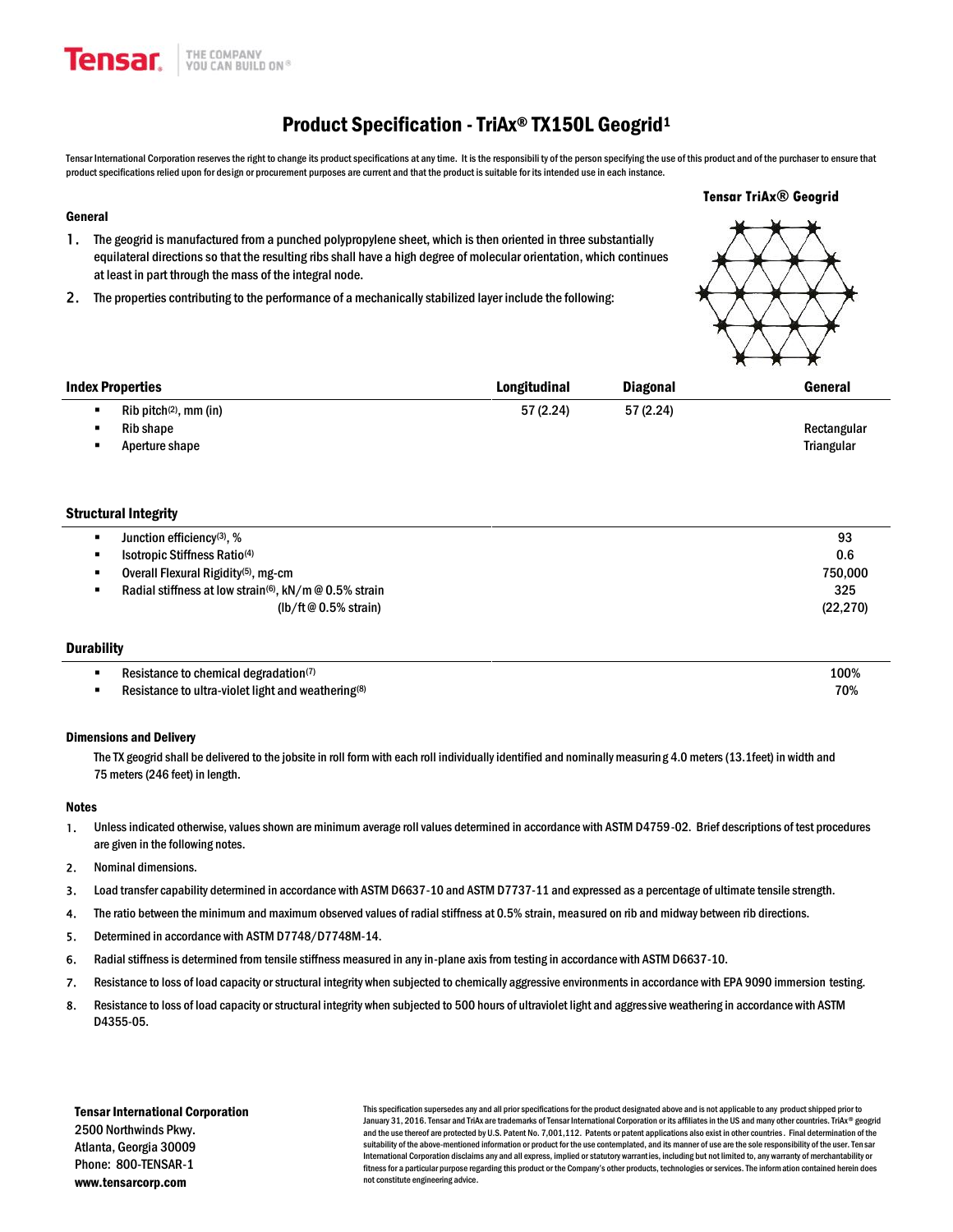# Product Specification - TriAx® TX150L Geogrid<sup>1</sup>

Tensar International Corporation reserves the right to change its product specifications at any time. It is the responsibili ty of the person specifying the use of this product and of the purchaser to ensure that product specifications relied upon for design or procurement purposes are current and that the product is suitable for its intended use in each instance.

### General

- **1.** The geogrid is manufactured from a punched polypropylene sheet, which is then oriented in three substantially equilateral directions so that the resulting ribs shall have a high degree of molecular orientation, which continues at least in part through the mass of the integral node.
- **2.** The properties contributing to the performance of a mechanically stabilized layer include the following:



| <b>Index Properties</b>              | Longitudinal | <b>Diagonal</b> | General     |
|--------------------------------------|--------------|-----------------|-------------|
| $Rib$ pitch <sup>(2)</sup> , mm (in) | 57(2.24)     | 57(2.24)        |             |
| Rib shape                            |              |                 | Rectangular |
| Aperture shape                       |              |                 | Triangular  |

# Structural Integrity

| 93        |
|-----------|
| 0.6       |
| 750.000   |
| 325       |
| (22, 270) |
|           |

# **Durability**

| Resistance to chemical degradation(1)                          | 100%                 |
|----------------------------------------------------------------|----------------------|
| Resistance to ultra-violet light and weathering <sup>(8)</sup> | 70%<br>$\sim$ $\sim$ |

### Dimensions and Delivery

The TX geogrid shall be delivered to the jobsite in roll form with each roll individually identified and nominally measuring 4.0 meters (13.1feet) in width and 75 meters(246 feet) in length.

#### Notes

- **1.** Unless indicated otherwise, values shown are minimum average roll values determined in accordance with ASTM D4759-02. Brief descriptions of test procedures are given in the following notes.
- **2.** Nominal dimensions.
- **3.** Load transfer capability determined in accordance with ASTM D6637-10 and ASTM D7737-11 and expressed as a percentage of ultimate tensile strength.
- **4.** The ratio between the minimum and maximum observed values of radial stiffness at 0.5% strain, measured on rib and midway between rib directions.
- **5.** Determined in accordance with ASTM D7748/D7748M-14.
- **6.** Radial stiffness is determined from tensile stiffness measured in any in-plane axis from testing in accordance with ASTM D6637-10.
- **7.** Resistance to loss of load capacity or structural integrity when subjected to chemically aggressive environments in accordance with EPA 9090 immersion testing.
- **8.** Resistance to loss of load capacity or structural integrity when subjected to 500 hours of ultraviolet light and aggressive weathering in accordance with ASTM D4355-05.

Tensar International Corporation 2500 Northwinds Pkwy. Atlanta, Georgia 30009 Phone: 800-TENSAR-1 www.tensarcorp.com

This specification supersedes any and all prior specifications for the product designated above and is not applicable to any product shipped prior to January 31, 2016. Tensar and TriAx are trademarks of Tensar International Corporation or its affiliates in the US and many other countries. TriAx® geogrid and the use thereof are protected by U.S. Patent No. 7,001,112. Patents or patent applications also exist in other countries. Final determination of the suitability of the above-mentioned information or product for the use contemplated, and its manner of use are the sole responsibility of the user. Tensar International Corporation disclaims any and all express, implied or statutory warranties, including but not limited to, any warranty of merchantability or fitness for a particular purpose regarding this product or the Company's other products, technologies or services. The information contained herein does not constitute engineering advice.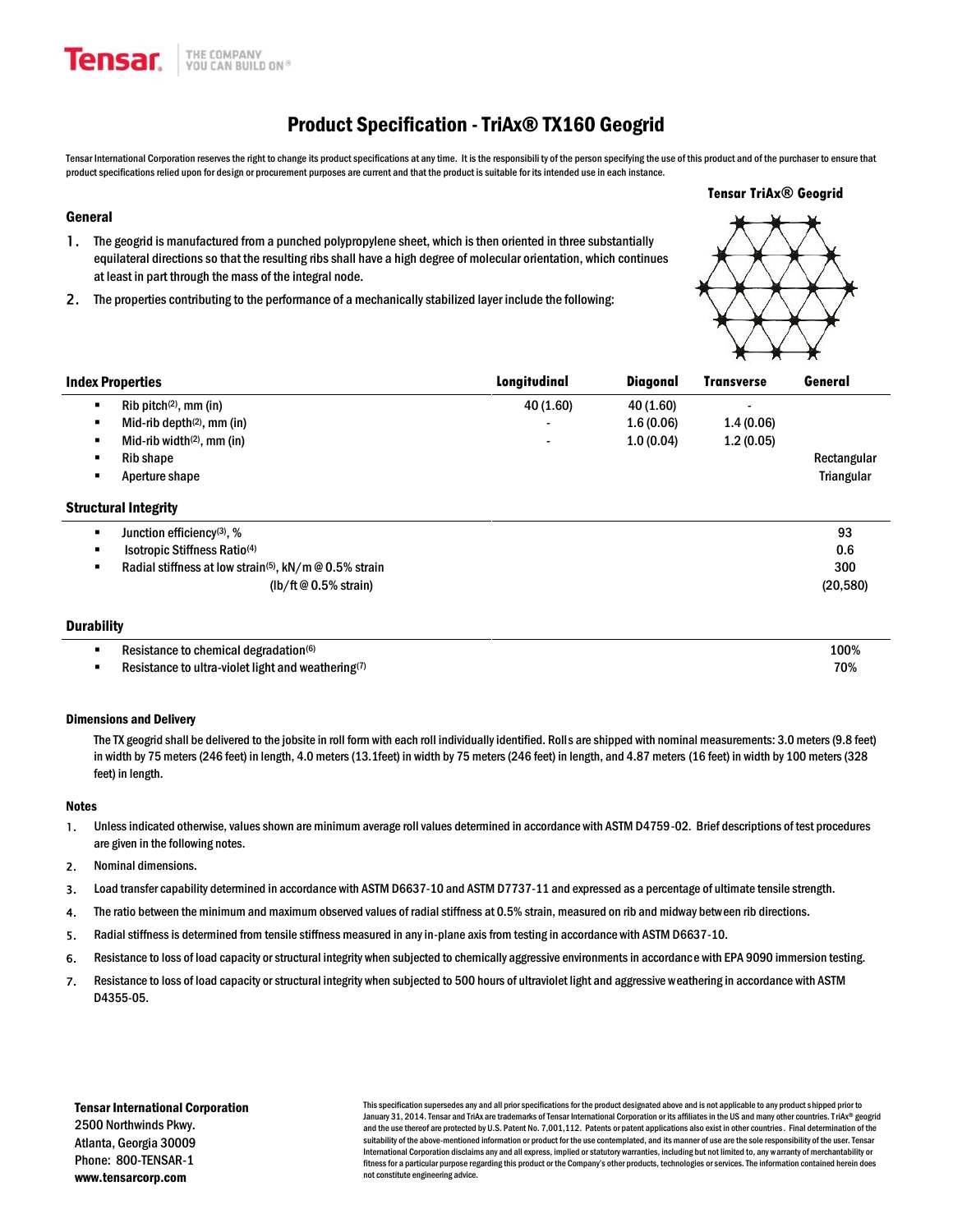# Product Specification -TriAx® TX160 Geogrid

Tensar International Corporation reserves the right to change its product specifications at any time. It is the responsibili ty of the person specifying the use of this product and of the purchaser to ensure that product specifications relied upon for design or procurement purposes are current and that the product is suitable for its intended use in each instance.

**Tensar TriAx® Geogrid**

## General

- **1.** The geogrid is manufactured from a punched polypropylene sheet, which is then oriented in three substantially equilateral directions so that the resulting ribs shall have a high degree of molecular orientation, which continues at least in part through the mass of the integral node.
- **2.** The properties contributing to the performance of a mechanically stabilized layer include the following:

|                                                                    |              |           | $\overline{\phantom{a}}$<br>$\sqrt{ }$ | $\overline{ }$ |
|--------------------------------------------------------------------|--------------|-----------|----------------------------------------|----------------|
| <b>Index Properties</b>                                            | Longitudinal | Diagonal  | <b>Transverse</b>                      | General        |
| $Rib$ pitch $(2)$ , mm (in)                                        | 40 (1.60)    | 40 (1.60) |                                        |                |
| Mid-rib depth $(2)$ , mm (in)                                      |              | 1.6(0.06) | 1.4(0.06)                              |                |
| Mid-rib width $(2)$ , mm (in)<br>٠                                 |              | 1.0(0.04) | 1.2(0.05)                              |                |
| Rib shape<br>٠                                                     |              |           |                                        | Rectangular    |
| Aperture shape                                                     |              |           |                                        | Triangular     |
| <b>Structural Integrity</b>                                        |              |           |                                        |                |
| Junction efficiency <sup>(3)</sup> , %                             |              |           |                                        | 93             |
| Isotropic Stiffness Ratio <sup>(4)</sup>                           |              |           |                                        | 0.6            |
| Radial stiffness at low strain <sup>(5)</sup> , kN/m @ 0.5% strain |              |           |                                        | 300            |
| (lb/ft $@0.5\%$ strain)                                            |              |           |                                        | (20, 580)      |
|                                                                    |              |           |                                        |                |
| <b>Durability</b>                                                  |              |           |                                        |                |

| e to chemical degradation®<br>rance                   | 100%<br>. |
|-------------------------------------------------------|-----------|
| e to ultra-violet light and weathering(7)<br>.istance | 70%       |

# Dimensions and Delivery

The TX geogrid shall be delivered to the jobsite in roll form with each roll individually identified. Rolls are shipped with nominal measurements: 3.0 meters (9.8 feet) in width by 75 meters (246 feet) in length, 4.0 meters (13.1feet) in width by 75 meters (246 feet) in length, and 4.87 meters (16 feet) in width by 100 meters (328 feet) in length.

#### **Notes**

- **1.** Unless indicated otherwise, values shown are minimum average roll values determined in accordance with ASTM D4759-02. Brief descriptions of test procedures are given in the following notes.
- **2.** Nominal dimensions.
- **3.** Load transfer capability determined in accordance with ASTM D6637-10 and ASTM D7737-11 and expressed as a percentage of ultimate tensile strength.
- **4.** The ratio between the minimum and maximum observed values of radial stiffness at 0.5% strain, measured on rib and midway between rib directions.
- **5.** Radial stiffness is determined from tensile stiffness measured in any in-plane axis from testing in accordance with ASTM D6637-10.
- **6.** Resistance to loss of load capacity or structural integrity when subjected to chemically aggressive environments in accordance with EPA 9090 immersion testing.
- **7.** Resistance to loss of load capacity or structural integrity when subjected to 500 hours of ultraviolet light and aggressive weathering in accordance with ASTM D4355-05.

Tensar International Corporation 2500 Northwinds Pkwy. Atlanta, Georgia 30009 Phone: 800-TENSAR-1 www.tensarcorp.com

This specification supersedes any and all prior specifications for the product designated above and is not applicable to any product shipped prior to January 31, 2014. Tensar and TriAx are trademarks of Tensar International Corporation or its affiliates in the US and many other countries. TriAx® geogrid and the use thereof are protected by U.S. Patent No. 7,001,112. Patents or patent applications also exist in other countries. Final determination of the suitability of the above-mentioned information or product for the use contemplated, and its manner of use are the sole responsibility of the user. Tensar International Corporation disclaims any and all express, implied or statutory warranties, including but not limited to, any warranty of merchantability or fitness for a particular purpose regarding this product or the Company's other products, technologies or services. The information contained herein does not constitute engineering advice.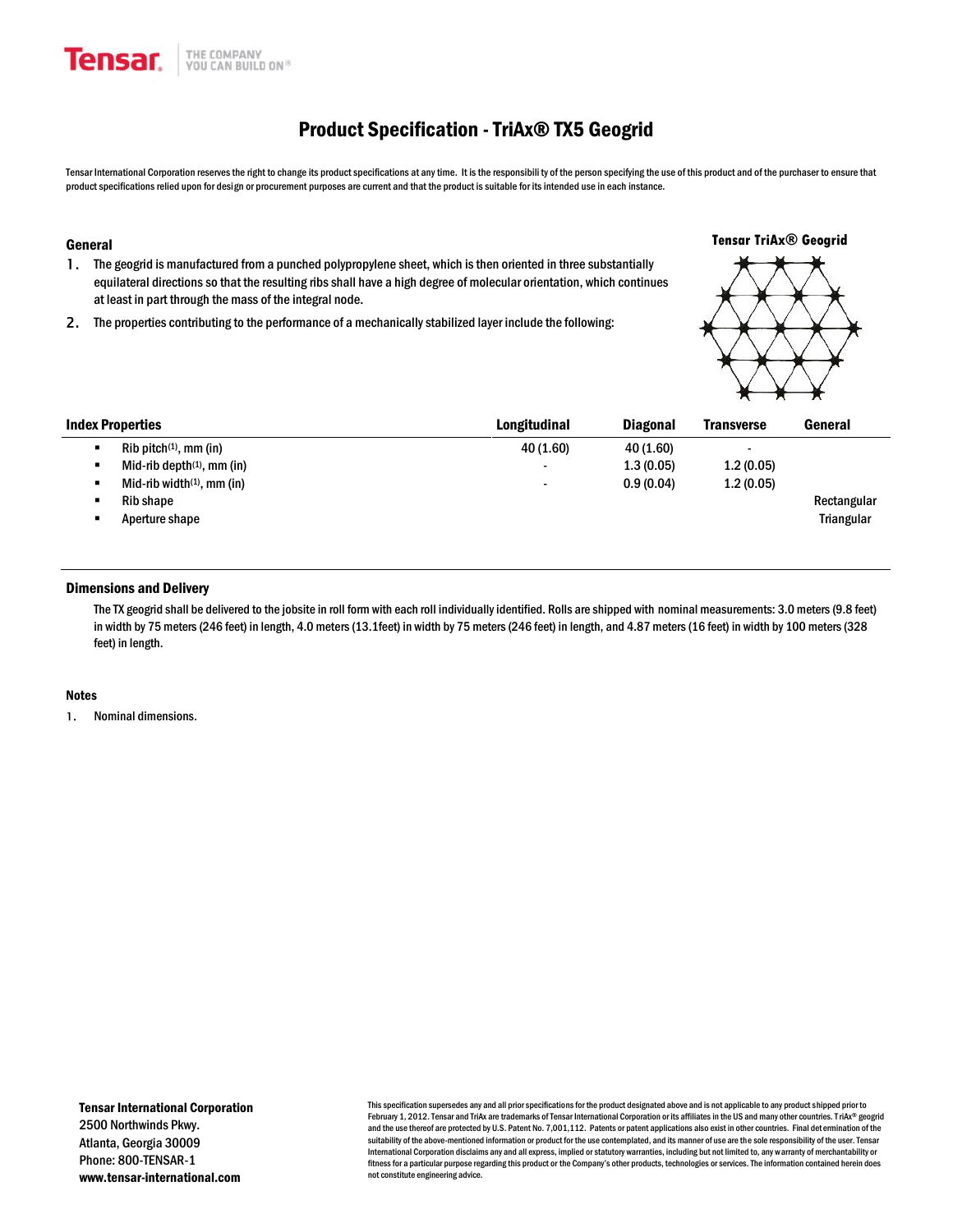

# Product Specification -TriAx® TX5 Geogrid

Tensar International Corporation reserves the right to change its product specifications at any time. It is the responsibili ty of the person specifying the use of this product and of the purchaser to ensure that product specifications relied upon for design or procurement purposes are current and that the product is suitable for its intended use in each instance.

**Tensar TriAx® Geogrid**

### General

- **1.** The geogrid is manufactured from a punched polypropylene sheet, which is then oriented in three substantially equilateral directions so that the resulting ribs shall have a high degree of molecular orientation, which continues at least in part through the mass of the integral node.
- **2.** The properties contributing to the performance of a mechanically stabilized layer include the following:

| <b>Index Properties</b> |                               | Longitudinal             | <b>Diagonal</b> | <b>Transverse</b> | General           |
|-------------------------|-------------------------------|--------------------------|-----------------|-------------------|-------------------|
| ٠                       | $Rib$ pitch $(1)$ , mm (in)   | 40 (1.60)                | 40 (1.60)       | $\blacksquare$    |                   |
| ٠                       | Mid-rib depth $(1)$ , mm (in) | $\blacksquare$           | 1.3(0.05)       | 1.2(0.05)         |                   |
| ٠                       | Mid-rib width $(1)$ , mm (in) | $\overline{\phantom{0}}$ | 0.9(0.04)       | 1.2(0.05)         |                   |
| ٠                       | Rib shape                     |                          |                 |                   | Rectangular       |
| $\blacksquare$          | Aperture shape                |                          |                 |                   | <b>Triangular</b> |

# Dimensions and Delivery

The TX geogrid shall be delivered to the jobsite in roll form with each roll individually identified. Rolls are shipped with nominal measurements: 3.0 meters (9.8 feet) in width by 75 meters (246 feet) in length, 4.0 meters (13.1feet) in width by 75 meters (246 feet) in length, and 4.87 meters (16 feet) in width by 100 meters (328 feet) in length.

#### Notes

**1.** Nominal dimensions.

This specification supersedes any and all prior specifications for the product designated above and is not applicable to any product shipped prior to February 1, 2012. Tensar and TriAx are trademarks of Tensar International Corporation or its affiliates in the US and many other countries. TriAx® geogrid and the use thereof are protected by U.S. Patent No. 7,001,112. Patents or patent applications also exist in other countries. Final det ermination of the suitability of the above-mentioned information or product for the use contemplated, and its manner of use are the sole responsibility of the user. Tensar International Corporation disclaims any and all express, implied or statutory warranties, including but not limited to, any warranty of merchantability or fitness for a particular purpose regarding this product or the Company's other products, technologies or services. The information contained herein does not constitute engineering advice.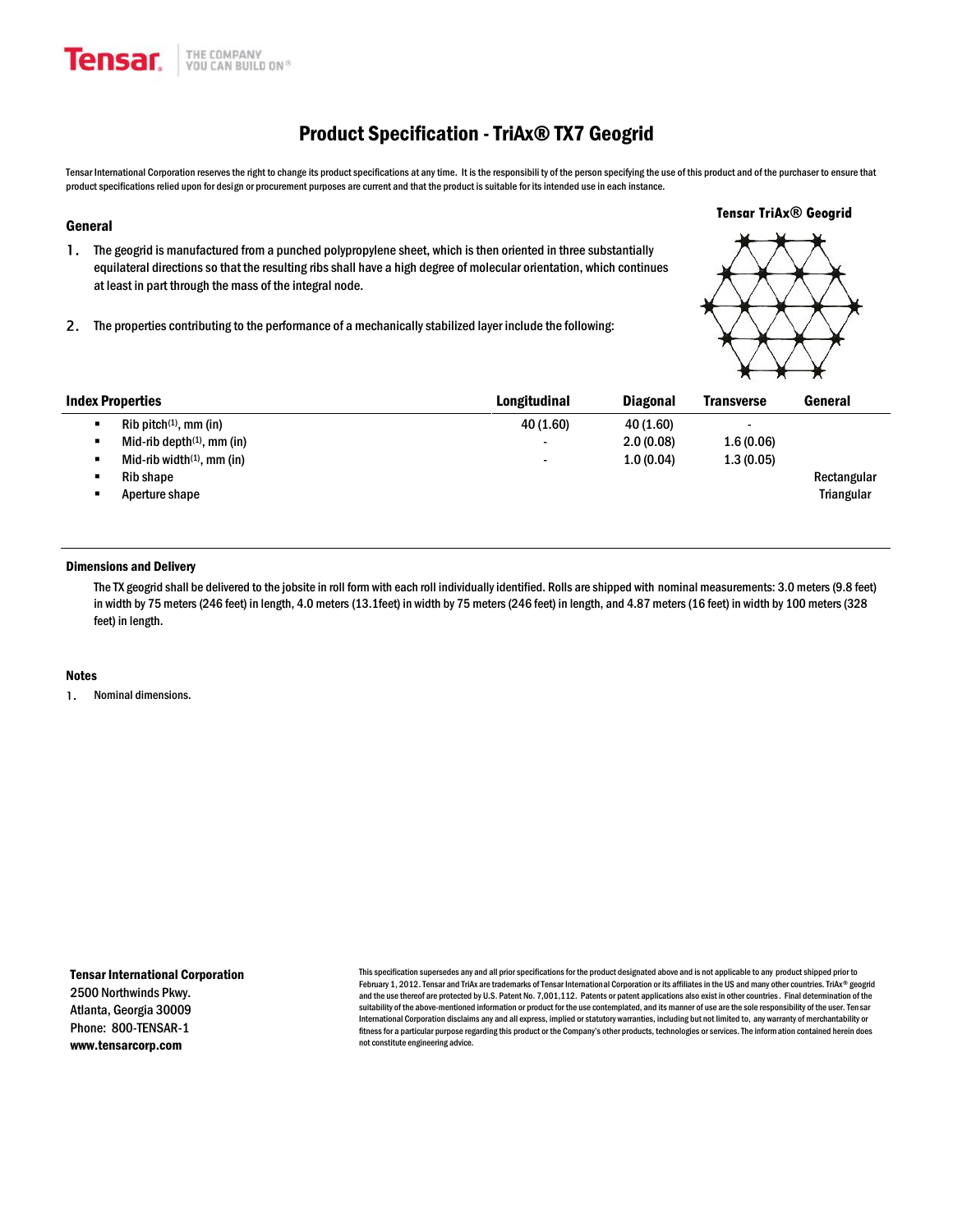# Product Specification -TriAx® TX7 Geogrid

Tensar International Corporation reserves the right to change its product specifications at any time. It is the responsibili ty of the person specifying the use of this product and of the purchaser to ensure that product specifications relied upon for design or procurement purposes are current and that the product is suitable for its intended use in each instance.

#### General

**Tensar.** 

- **1.** The geogrid is manufactured from a punched polypropylene sheet, which is then oriented in three substantially equilateral directions so that the resulting ribs shall have a high degree of molecular orientation, which continues at least in part through the mass of the integral node.
- **2.** The properties contributing to the performance of a mechanically stabilized layer include the following:

THE COMPANY

YOU CAN BUILD ON®

**Tensar TriAx® Geogrid**

|                               |                          |                 | $\cdots$<br>$\cdots$<br>$\cdots$ |                   |
|-------------------------------|--------------------------|-----------------|----------------------------------|-------------------|
| <b>Index Properties</b>       | Longitudinal             | <b>Diagonal</b> | <b>Transverse</b>                | General           |
| $Rib$ pitch $(1)$ , mm (in)   | 40 (1.60)                | 40 (1.60)       |                                  |                   |
| Mid-rib depth $(1)$ , mm (in) | $\overline{\phantom{0}}$ | 2.0(0.08)       | 1.6(0.06)                        |                   |
| Mid-rib width $(1)$ , mm (in) | $\overline{\phantom{0}}$ | 1.0(0.04)       | 1.3(0.05)                        |                   |
| Rib shape                     |                          |                 |                                  | Rectangular       |
| Aperture shape                |                          |                 |                                  | <b>Triangular</b> |
|                               |                          |                 |                                  |                   |
|                               |                          |                 |                                  |                   |

# Dimensions and Delivery

The TX geogrid shall be delivered to the jobsite in roll form with each roll individually identified. Rolls are shipped with nominal measurements: 3.0 meters (9.8 feet) in width by 75 meters (246 feet) in length, 4.0 meters (13.1feet) in width by 75 meters (246 feet) in length, and 4.87 meters (16 feet) in width by 100 meters (328 feet) in length.

#### **Notes**

**1.** Nominal dimensions.

Tensar International Corporation 2500 Northwinds Pkwy. Atlanta, Georgia 30009 Phone: 800-TENSAR-1 www.tensarcorp.com

This specification supersedes any and all prior specifications for the product designated above and is not applicable to any product shipped prior to February 1, 2012. Tensar and TriAx are trademarks of Tensar International Corporation or its affiliates in the US and many other countries. TriAx® geogrid and the use thereof are protected by U.S. Patent No. 7,001,112. Patents or patent applications also exist in other countries. Final determination of the suitability of the above-mentioned information or product for the use contemplated, and its manner of use are the sole responsibility of the user. Tensar International Corporation disclaims any and all express, implied or statutory warranties, including but not limited to, any warranty of merchantability or fitness for a particular purpose regarding this product or the Company's other products, technologies or services. The information contained herein does not constitute engineering advice.